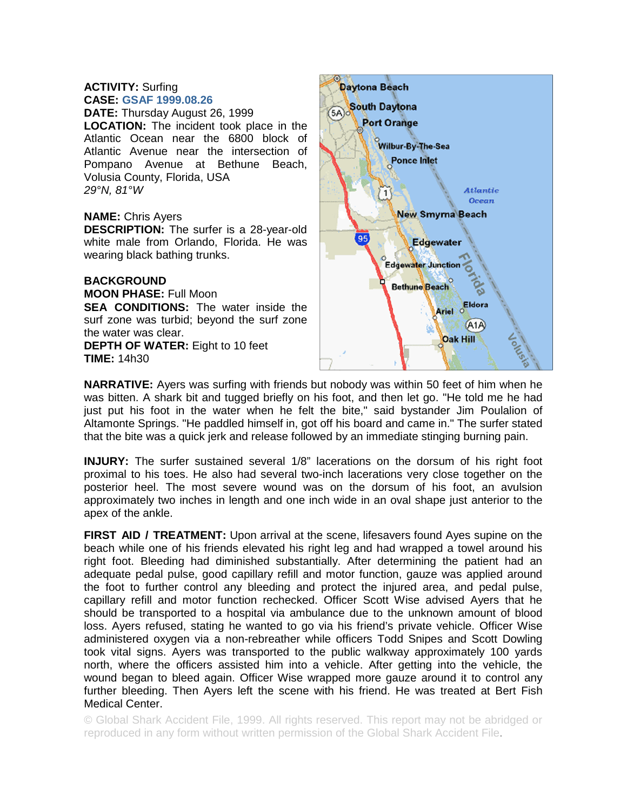## **ACTIVITY:** Surfing **CASE: GSAF 1999.08.26**

**DATE:** Thursday August 26, 1999 **LOCATION:** The incident took place in the Atlantic Ocean near the 6800 block of Atlantic Avenue near the intersection of Pompano Avenue at Bethune Beach, Volusia County, Florida, USA *29°N, 81°W* 

## **NAME:** Chris Ayers

**DESCRIPTION:** The surfer is a 28-year-old white male from Orlando, Florida. He was wearing black bathing trunks.

## **BACKGROUND**

**MOON PHASE:** Full Moon **SEA CONDITIONS:** The water inside the surf zone was turbid; beyond the surf zone the water was clear. **DEPTH OF WATER:** Eight to 10 feet

**TIME:** 14h30



**NARRATIVE:** Ayers was surfing with friends but nobody was within 50 feet of him when he was bitten. A shark bit and tugged briefly on his foot, and then let go. "He told me he had just put his foot in the water when he felt the bite," said bystander Jim Poulalion of Altamonte Springs. "He paddled himself in, got off his board and came in." The surfer stated that the bite was a quick jerk and release followed by an immediate stinging burning pain.

**INJURY:** The surfer sustained several 1/8" lacerations on the dorsum of his right foot proximal to his toes. He also had several two-inch lacerations very close together on the posterior heel. The most severe wound was on the dorsum of his foot, an avulsion approximately two inches in length and one inch wide in an oval shape just anterior to the apex of the ankle.

**FIRST AID / TREATMENT:** Upon arrival at the scene, lifesavers found Ayes supine on the beach while one of his friends elevated his right leg and had wrapped a towel around his right foot. Bleeding had diminished substantially. After determining the patient had an adequate pedal pulse, good capillary refill and motor function, gauze was applied around the foot to further control any bleeding and protect the injured area, and pedal pulse, capillary refill and motor function rechecked. Officer Scott Wise advised Ayers that he should be transported to a hospital via ambulance due to the unknown amount of blood loss. Ayers refused, stating he wanted to go via his friend's private vehicle. Officer Wise administered oxygen via a non-rebreather while officers Todd Snipes and Scott Dowling took vital signs. Ayers was transported to the public walkway approximately 100 yards north, where the officers assisted him into a vehicle. After getting into the vehicle, the wound began to bleed again. Officer Wise wrapped more gauze around it to control any further bleeding. Then Ayers left the scene with his friend. He was treated at Bert Fish Medical Center.

© Global Shark Accident File, 1999. All rights reserved. This report may not be abridged or reproduced in any form without written permission of the Global Shark Accident File.